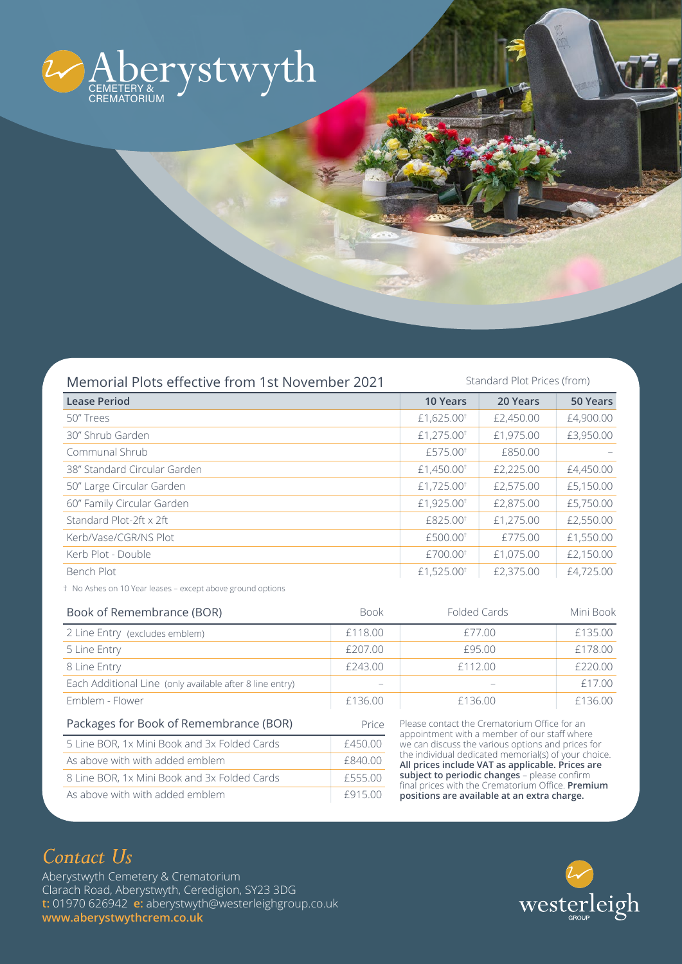

| Memorial Plots effective from 1st November 2021 | Standard Plot Prices (from) |           |           |
|-------------------------------------------------|-----------------------------|-----------|-----------|
| <b>Lease Period</b>                             | <b>10 Years</b>             | 20 Years  | 50 Years  |
| 50" Trees                                       | £1,625.00 <sup>t</sup>      | £2,450.00 | £4,900.00 |
| 30" Shrub Garden                                | £1,275.00 <sup>t</sup>      | £1,975.00 | £3,950.00 |
| Communal Shrub                                  | £575.00 <sup>t</sup>        | £850.00   |           |
| 38" Standard Circular Garden                    | £1,450.00 <sup>t</sup>      | £2,225.00 | £4,450.00 |
| 50" Large Circular Garden                       | £1,725.00 <sup>t</sup>      | £2,575.00 | £5,150.00 |
| 60" Family Circular Garden                      | £1,925.00 <sup>t</sup>      | £2,875.00 | £5,750.00 |
| Standard Plot-2ft $\times$ 2ft                  | £825.00 <sup>t</sup>        | £1,275.00 | £2,550.00 |
| Kerb/Vase/CGR/NS Plot                           | £500.00 <sup>t</sup>        | £775.00   | £1,550.00 |
| Kerb Plot - Double                              | £700.00 <sup>t</sup>        | £1,075.00 | £2,150.00 |
| Bench Plot                                      | £1,525.00 <sup>t</sup>      | £2,375.00 | £4,725.00 |

† No Ashes on 10 Year leases – except above ground options

| Book of Remembrance (BOR)                                | <b>Book</b> | Folded Cards                                                                                                                                                                                                                                                                                                                                                                                                      | Mini Book |
|----------------------------------------------------------|-------------|-------------------------------------------------------------------------------------------------------------------------------------------------------------------------------------------------------------------------------------------------------------------------------------------------------------------------------------------------------------------------------------------------------------------|-----------|
| 2 Line Entry (excludes emblem)                           | £118.00     | £77.00                                                                                                                                                                                                                                                                                                                                                                                                            | £135.00   |
| 5 Line Entry                                             | £207.00     | £95.00                                                                                                                                                                                                                                                                                                                                                                                                            | £178.00   |
| 8 Line Entry                                             | £243.00     | £112.00                                                                                                                                                                                                                                                                                                                                                                                                           | £220.00   |
| Each Additional Line (only available after 8 line entry) |             |                                                                                                                                                                                                                                                                                                                                                                                                                   | £17.00    |
| Emblem - Flower                                          | £136.00     | £136.00                                                                                                                                                                                                                                                                                                                                                                                                           | £136.00   |
| Packages for Book of Remembrance (BOR)                   | Price       | Please contact the Crematorium Office for an<br>appointment with a member of our staff where<br>we can discuss the various options and prices for<br>the individual dedicated memorial(s) of your choice.<br>All prices include VAT as applicable. Prices are<br>subject to periodic changes - please confirm<br>final prices with the Crematorium Office. Premium<br>positions are available at an extra charge. |           |
| 5 Line BOR, 1x Mini Book and 3x Folded Cards             | £450.00     |                                                                                                                                                                                                                                                                                                                                                                                                                   |           |
| As above with with added emblem                          | £840.00     |                                                                                                                                                                                                                                                                                                                                                                                                                   |           |
| 8 Line BOR, 1x Mini Book and 3x Folded Cards             | £555.00     |                                                                                                                                                                                                                                                                                                                                                                                                                   |           |
| As above with with added emblem                          | £915.00     |                                                                                                                                                                                                                                                                                                                                                                                                                   |           |

## *Contact Us*

Aberystwyth Cemetery & Crematorium Clarach Road, Aberystwyth, Ceredigion, SY23 3DG **t:** 01970 626942 **e:** aberystwyth@westerleighgroup.co.uk **www.aberystwythcrem.co.uk**